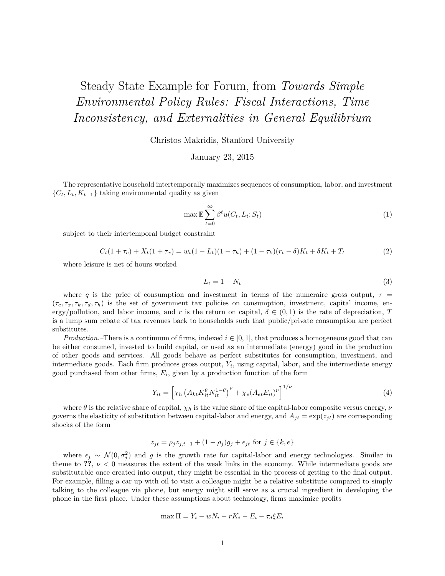## Steady State Example for Forum, from *Towards Simple Environmental Policy Rules: Fiscal Interactions, Time Inconsistency, and Externalities in General Equilibrium*

Christos Makridis, Stanford University

January 23, 2015

The representative household intertemporally maximizes sequences of consumption, labor, and investment  ${C_t, L_t, K_{t+1}}$  taking environmental quality as given

$$
\max \mathbb{E} \sum_{t=0}^{\infty} \beta^t u(C_t, L_t; S_t)
$$
\n(1)

subject to their intertemporal budget constraint

$$
C_t(1+\tau_c) + X_t(1+\tau_x) = w_t(1-L_t)(1-\tau_h) + (1-\tau_k)(r_t-\delta)K_t + \delta K_t + T_t
$$
\n(2)

where leisure is net of hours worked

<span id="page-0-0"></span>
$$
L_t = 1 - N_t \tag{3}
$$

where *q* is the price of consumption and investment in terms of the numeraire gross output,  $\tau$  $(\tau_c, \tau_x, \tau_k, \tau_d, \tau_h)$  is the set of government tax policies on consumption, investment, capital income, energy/pollution, and labor income, and *r* is the return on capital,  $\delta \in (0,1)$  is the rate of depreciation, *T* is a lump sum rebate of tax revenues back to households such that public/private consumption are perfect substitutes.

*Production.*–There is a continuum of firms, indexed  $i \in [0,1]$ , that produces a homogeneous good that can be either consumed, invested to build capital, or used as an intermediate (energy) good in the production of other goods and services. All goods behave as perfect substitutes for consumption, investment, and intermediate goods. Each firm produces gross output, *Y<sup>i</sup>* , using capital, labor, and the intermediate energy good purchased from other firms, *E<sup>i</sup>* , given by a production function of the form

$$
Y_{it} = \left[ \chi_h \left( A_{kt} K_{it}^{\theta} N_{it}^{1-\theta} \right)^{\nu} + \chi_e (A_{et} E_{it})^{\nu} \right]^{1/\nu} \tag{4}
$$

where  $\theta$  is the relative share of capital,  $\chi_h$  is the value share of the capital-labor composite versus energy,  $\nu$ governs the elasticity of substitution between capital-labor and energy, and  $A_{jt} = \exp(z_{jt})$  are corresponding shocks of the form

$$
z_{jt} = \rho_j z_{j,t-1} + (1 - \rho_j)g_j + \epsilon_{jt} \text{ for } j \in \{k, e\}
$$

where  $\epsilon_j \sim \mathcal{N}(0, \sigma_j^2)$  and *g* is the growth rate for capital-labor and energy technologies. Similar in theme to ??,  $\nu < 0$  measures the extent of the weak links in the economy. While intermediate goods are substitutable once created into output, they might be essential in the process of getting to the final output. For example, filling a car up with oil to visit a colleague might be a relative substitute compared to simply talking to the colleague via phone, but energy might still serve as a crucial ingredient in developing the phone in the first place. Under these assumptions about technology, firms maximize profits

$$
\max \Pi = Y_i - wN_i - rK_i - E_i - \tau_d \xi E_i
$$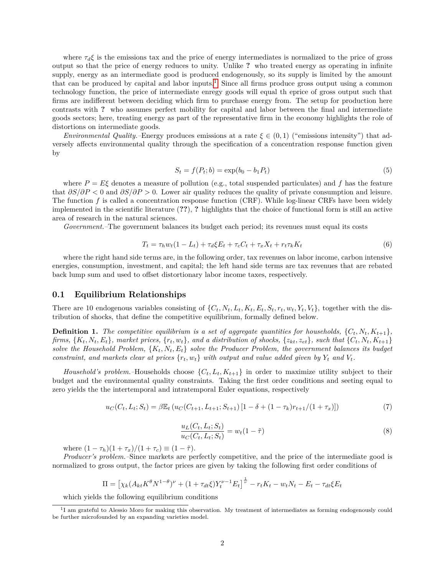where  $\tau_d \xi$  is the emissions tax and the price of energy intermediates is normalized to the price of gross output so that the price of energy reduces to unity. Unlike **?** who treated energy as operating in infinite supply, energy as an intermediate good is produced endogenously, so its supply is limited by the amount that can be produced by capital and labor inputs.<sup>[1](#page-1-0)</sup> Since all firms produce gross output using a common technology function, the price of intermediate enregy goods will equal th eprice of gross output such that firms are indifferent between deciding which firm to purchase energy from. The setup for production here contrasts with **?** who assumes perfect mobility for capital and labor between the final and intermediate goods sectors; here, treating energy as part of the representative firm in the economy highlights the role of distortions on intermediate goods.

*Environmental Quality.*–Energy produces emissions at a rate  $\xi \in (0,1)$  ("emissions intensity") that adversely affects environmental quality through the specification of a concentration response function given by

<span id="page-1-1"></span>
$$
S_t = f(P_t; b) = \exp(b_0 - b_1 P_t)
$$
\n(5)

where  $P = E\xi$  denotes a measure of pollution (e.g., total suspended particulates) and f has the feature that *∂S/∂P <* 0 and *∂S/∂P >* 0. Lower air quality reduces the quality of private consumption and leisure. The function  $f$  is called a concentration response function (CRF). While log-linear CRFs have been widely implemented in the scientific literature (**??**), **?** highlights that the choice of functional form is still an active area of research in the natural sciences.

*Government.–*The government balances its budget each period; its revenues must equal its costs

<span id="page-1-2"></span>
$$
T_t = \tau_h w_t (1 - L_t) + \tau_d \xi E_t + \tau_c C_t + \tau_x X_t + r_t \tau_k K_t
$$
\n(6)

where the right hand side terms are, in the following order, tax revenues on labor income, carbon intensive energies, consumption, investment, and capital; the left hand side terms are tax revenues that are rebated back lump sum and used to offset distortionary labor income taxes, respectively.

## **0.1 Equilibrium Relationships**

There are 10 endogenous variables consisting of  $\{C_t, N_t, L_t, K_t, E_t, S_t, r_t, w_t, Y_t, V_t\}$ , together with the distribution of shocks, that define the competitive equilibrium, formally defined below.

**Definition 1.** The competitive equilibrium is a set of aggregate quantities for households,  $\{C_t, N_t, K_{t+1}\}$ , firms,  $\{K_t, N_t, E_t\}$ , market prices,  $\{r_t, w_t\}$ , and a distribution of shocks,  $\{z_{kt}, z_{et}\}$ , such that  $\{C_t, N_t, K_{t+1}\}$ *solve the Household Problem,*  ${K_t, N_t, E_t}$  *solve the Producer Problem, the government balances its budget constraint, and markets clear at prices*  $\{r_t, w_t\}$  *with output and value added given by*  $Y_t$  *and*  $V_t$ *.* 

*Household's problem.*–Households choose  $\{C_t, L_t, K_{t+1}\}\$ in order to maximize utility subject to their budget and the environmental quality constraints. Taking the first order conditions and seeting equal to zero yields the the intertemporal and intratemporal Euler equations, respectively

$$
u_C(C_t, L_t; S_t) = \beta \mathbb{E}_t \left( u_C(C_{t+1}, L_{t+1}; S_{t+1}) [1 - \delta + (1 - \tau_k) r_{t+1}/(1 + \tau_x)] \right)
$$
(7)

$$
\frac{u_L(C_t, L_t; S_t)}{u_C(C_t, L_t; S_t)} = w_t(1 - \tilde{\tau})
$$
\n(8)

where  $(1 - \tau_h)(1 + \tau_x)/(1 + \tau_c) \equiv (1 - \tilde{\tau}).$ 

*Producer's problem.–*Since markets are perfectly competitive, and the price of the intermediate good is normalized to gross output, the factor prices are given by taking the following first order conditions of

$$
\Pi = \left[ \chi_k (A_{kt} K^{\theta} N^{1-\theta})^{\nu} + (1 + \tau_{dt} \xi) Y_t^{\nu-1} E_t \right]^{\frac{1}{\nu}} - r_t K_t - w_t N_t - E_t - \tau_{dt} \xi E_t
$$

<span id="page-1-0"></span>which yields the following equilibrium conditions

<sup>&</sup>lt;sup>1</sup>I am grateful to Alessio Moro for making this observation. My treatment of intermediates as forming endogenously could be further microfounded by an expanding varieties model.